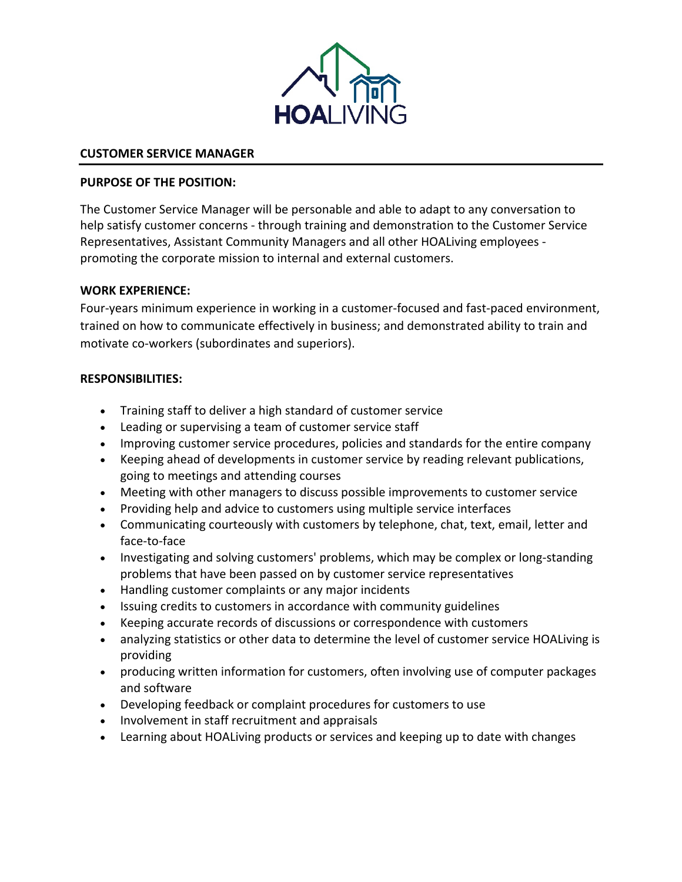

## **CUSTOMER SERVICE MANAGER**

#### **PURPOSE OF THE POSITION:**

The Customer Service Manager will be personable and able to adapt to any conversation to help satisfy customer concerns - through training and demonstration to the Customer Service Representatives, Assistant Community Managers and all other HOALiving employees promoting the corporate mission to internal and external customers.

#### **WORK EXPERIENCE:**

Four-years minimum experience in working in a customer-focused and fast-paced environment, trained on how to communicate effectively in business; and demonstrated ability to train and motivate co-workers (subordinates and superiors).

#### **RESPONSIBILITIES:**

- Training staff to deliver a high standard of customer service
- Leading or supervising a team of customer service staff
- Improving customer service procedures, policies and standards for the entire company
- Keeping ahead of developments in customer service by reading relevant publications, going to meetings and attending courses
- Meeting with other managers to discuss possible improvements to customer service
- Providing help and advice to customers using multiple service interfaces
- Communicating courteously with customers by telephone, chat, text, email, letter and face-to-face
- Investigating and solving customers' problems, which may be complex or long-standing problems that have been passed on by customer service representatives
- Handling customer complaints or any major incidents
- Issuing credits to customers in accordance with community guidelines
- Keeping accurate records of discussions or correspondence with customers
- analyzing statistics or other data to determine the level of customer service HOALiving is providing
- producing written information for customers, often involving use of computer packages and software
- Developing feedback or complaint procedures for customers to use
- Involvement in staff recruitment and appraisals
- Learning about HOALiving products or services and keeping up to date with changes